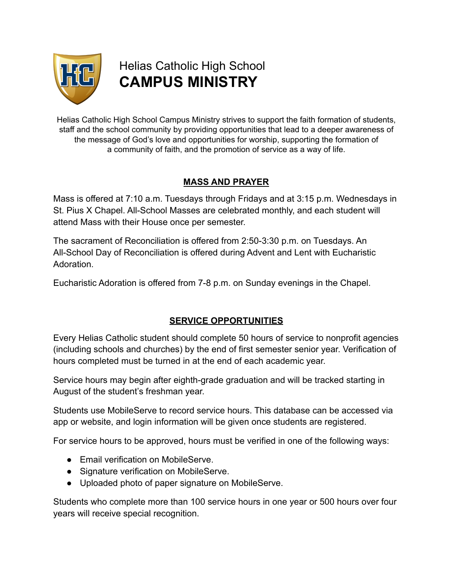

Helias Catholic High School **CAMPUS MINISTRY**

Helias Catholic High School Campus Ministry strives to support the faith formation of students, staff and the school community by providing opportunities that lead to a deeper awareness of the message of God's love and opportunities for worship, supporting the formation of a community of faith, and the promotion of service as a way of life.

## **MASS AND PRAYER**

Mass is offered at 7:10 a.m. Tuesdays through Fridays and at 3:15 p.m. Wednesdays in St. Pius X Chapel. All-School Masses are celebrated monthly, and each student will attend Mass with their House once per semester.

The sacrament of Reconciliation is offered from 2:50-3:30 p.m. on Tuesdays. An All-School Day of Reconciliation is offered during Advent and Lent with Eucharistic Adoration.

Eucharistic Adoration is offered from 7-8 p.m. on Sunday evenings in the Chapel.

#### **SERVICE OPPORTUNITIES**

Every Helias Catholic student should complete 50 hours of service to nonprofit agencies (including schools and churches) by the end of first semester senior year. Verification of hours completed must be turned in at the end of each academic year.

Service hours may begin after eighth-grade graduation and will be tracked starting in August of the student's freshman year.

Students use MobileServe to record service hours. This database can be accessed via app or website, and login information will be given once students are registered.

For service hours to be approved, hours must be verified in one of the following ways:

- Email verification on MobileServe.
- Signature verification on MobileServe.
- Uploaded photo of paper signature on MobileServe.

Students who complete more than 100 service hours in one year or 500 hours over four years will receive special recognition.